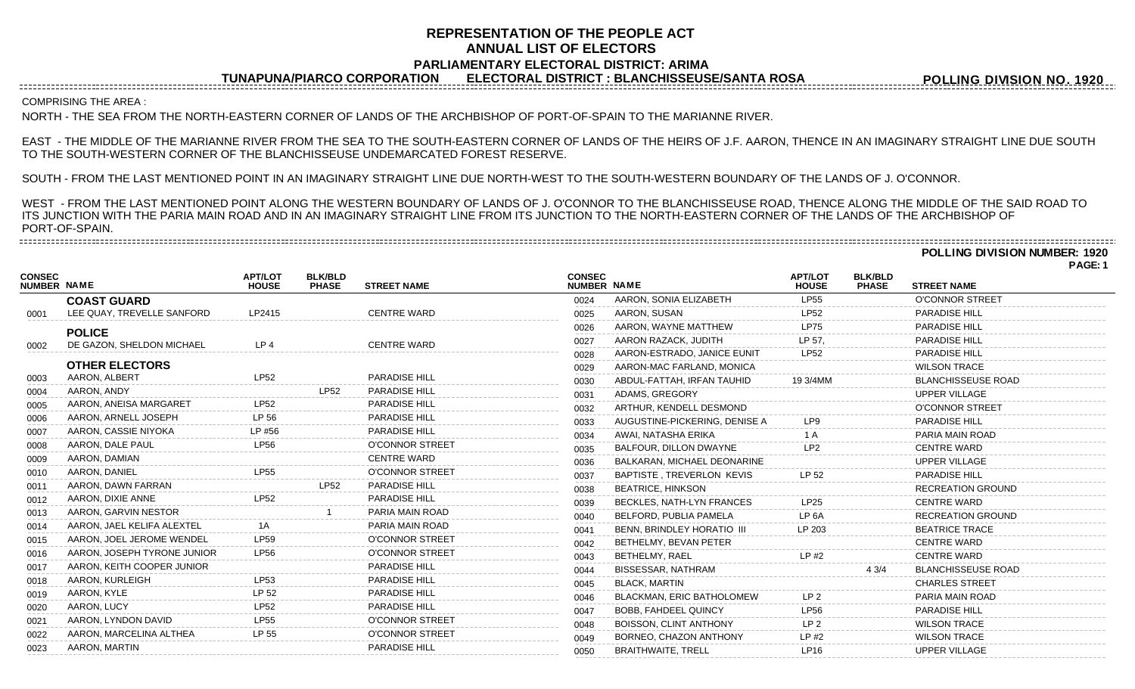# **REPRESENTATION OF THE PEOPLE ACT ANNUAL LIST OF ELECTORS PARLIAMENTARY ELECTORAL DISTRICT: ARIMA**

**TUNAPUNA/PIARCO CORPORATION ELECTORAL DISTRICT : BLANCHISSEUSE/SANTA ROSA**

**POLLING DIVISION NO. 1920**

COMPRISING THE AREA :

--------------------------------------

NORTH - THE SEA FROM THE NORTH-EASTERN CORNER OF LANDS OF THE ARCHBISHOP OF PORT-OF-SPAIN TO THE MARIANNE RIVER.

EAST - THE MIDDLE OF THE MARIANNE RIVER FROM THE SEA TO THE SOUTH-EASTERN CORNER OF LANDS OF THE HEIRS OF J.F. AARON, THENCE IN AN IMAGINARY STRAIGHT LINE DUE SOUTH TO THE SOUTH-WESTERN CORNER OF THE BLANCHISSEUSE UNDEMARCATED FOREST RESERVE.

SOUTH - FROM THE LAST MENTIONED POINT IN AN IMAGINARY STRAIGHT LINE DUE NORTH-WEST TO THE SOUTH-WESTERN BOUNDARY OF THE LANDS OF J. O'CONNOR.

WEST - FROM THE LAST MENTIONED POINT ALONG THE WESTERN BOUNDARY OF LANDS OF J. O'CONNOR TO THE BLANCHISSEUSE ROAD, THENCE ALONG THE MIDDLE OF THE SAID ROAD TO ITS JUNCTION WITH THE PARIA MAIN ROAD AND IN AN IMAGINARY STRAIGHT LINE FROM ITS JUNCTION TO THE NORTH-EASTERN CORNER OF THE LANDS OF THE ARCHBISHOP OF PORT-OF-SPAIN. 

## **POLLING DIVISION NUMBER: 1920**

**PAGE: 1**

|                                     |                             |                                |                                |                        |                              |                                   |                                |                                |                           | г мос. |
|-------------------------------------|-----------------------------|--------------------------------|--------------------------------|------------------------|------------------------------|-----------------------------------|--------------------------------|--------------------------------|---------------------------|--------|
| <b>CONSEC</b><br><b>NUMBER NAME</b> |                             | <b>APT/LOT</b><br><b>HOUSE</b> | <b>BLK/BLD</b><br><b>PHASE</b> | <b>STREET NAME</b>     | <b>CONSEC</b><br>NUMBER NAME |                                   | <b>APT/LOT</b><br><b>HOUSE</b> | <b>BLK/BLD</b><br><b>PHASE</b> | <b>STREET NAME</b>        |        |
|                                     | <b>COAST GUARD</b>          |                                |                                |                        | 0024                         | AARON, SONIA ELIZABETH            | <b>LP55</b>                    |                                | <b>O'CONNOR STREET</b>    |        |
| 0001                                | LEE QUAY, TREVELLE SANFORD  | LP2415                         |                                | <b>CENTRE WARD</b>     | 0025                         | AARON, SUSAN                      | LP52                           |                                | PARADISE HILL             |        |
|                                     | <b>POLICE</b>               |                                |                                |                        | 0026                         | AARON, WAYNE MATTHEW              | <b>LP75</b>                    |                                | <b>PARADISE HILL</b>      |        |
| 0002                                | DE GAZON, SHELDON MICHAEL   | LP <sub>4</sub>                |                                | <b>CENTRE WARD</b>     | 0027                         | AARON RAZACK, JUDITH              | LP 57.                         |                                | <b>PARADISE HILL</b>      |        |
|                                     |                             |                                |                                |                        | 0028                         | AARON-ESTRADO, JANICE EUNIT       | <b>LP52</b>                    |                                | <b>PARADISE HILL</b>      |        |
|                                     | <b>OTHER ELECTORS</b>       |                                |                                |                        | 0029                         | AARON-MAC FARLAND, MONICA         |                                |                                | <b>WILSON TRACE</b>       |        |
| 0003                                | AARON, ALBERT               | <b>LP52</b>                    |                                | <b>PARADISE HILL</b>   | 0030                         | ABDUL-FATTAH, IRFAN TAUHID        | 19 3/4MM                       |                                | <b>BLANCHISSEUSE ROAD</b> |        |
| 0004                                | AARON, ANDY                 |                                | <b>LP52</b>                    | PARADISE HILL          | 0031                         | ADAMS, GREGORY                    |                                |                                | <b>UPPER VILLAGE</b>      |        |
| 0005                                | AARON, ANEISA MARGARET      | <b>LP52</b>                    |                                | <b>PARADISE HILL</b>   | 0032                         | ARTHUR, KENDELL DESMOND           |                                |                                | <b>O'CONNOR STREET</b>    |        |
| 0006                                | AARON, ARNELL JOSEPH        | LP 56                          |                                | <b>PARADISE HILL</b>   | 0033                         | AUGUSTINE-PICKERING, DENISE A     | LP9                            |                                | <b>PARADISE HILL</b>      |        |
| 0007                                | AARON, CASSIE NIYOKA        | LP #56                         |                                | <b>PARADISE HILL</b>   | 0034                         | AWAI, NATASHA ERIKA               | 1 A                            |                                | PARIA MAIN ROAD           |        |
| 0008                                | AARON, DALE PAUL            | <b>LP56</b>                    |                                | <b>O'CONNOR STREET</b> | 0035                         | BALFOUR, DILLON DWAYNE            | LP <sub>2</sub>                |                                | <b>CENTRE WARD</b>        |        |
| 0009                                | AARON, DAMIAN               |                                |                                | <b>CENTRE WARD</b>     | 0036                         | BALKARAN, MICHAEL DEONARINE       |                                |                                | <b>UPPER VILLAGE</b>      |        |
| 0010                                | AARON, DANIEL               | <b>LP55</b>                    |                                | <b>O'CONNOR STREET</b> | 0037                         | BAPTISTE, TREVERLON KEVIS         | LP 52                          |                                | <b>PARADISE HILL</b>      |        |
| 0011                                | AARON, DAWN FARRAN          |                                | <b>LP52</b>                    | PARADISE HILL          | 0038                         | <b>BEATRICE, HINKSON</b>          |                                |                                | <b>RECREATION GROUND</b>  |        |
| 0012                                | AARON, DIXIE ANNE           | <b>LP52</b>                    |                                | <b>PARADISE HILL</b>   | 0039                         | BECKLES, NATH-LYN FRANCES         | LP25                           |                                | <b>CENTRE WARD</b>        |        |
| 0013                                | AARON, GARVIN NESTOR        |                                |                                | PARIA MAIN ROAD        | 0040                         | BELFORD, PUBLIA PAMELA            | LP <sub>6A</sub>               |                                | <b>RECREATION GROUND</b>  |        |
| 0014                                | AARON, JAEL KELIFA ALEXTEL  |                                |                                | PARIA MAIN ROAD        | 0041                         | <b>BENN. BRINDLEY HORATIO III</b> | LP 203                         |                                | <b>BEATRICE TRACE</b>     |        |
| 0015                                | AARON, JOEL JEROME WENDEL   | <b>LP59</b>                    |                                | <b>O'CONNOR STREET</b> | 0042                         | BETHELMY, BEVAN PETER             |                                |                                | <b>CENTRE WARD</b>        |        |
| 0016                                | AARON, JOSEPH TYRONE JUNIOR | <b>LP56</b>                    |                                | <b>O'CONNOR STREET</b> | 0043                         | BETHELMY, RAEL                    | $LP$ #2                        |                                | <b>CENTRE WARD</b>        |        |
| 0017                                | AARON, KEITH COOPER JUNIOR  |                                |                                | <b>PARADISE HILL</b>   | 0044                         | <b>BISSESSAR, NATHRAM</b>         |                                | 4 3/4                          | <b>BLANCHISSEUSE ROAD</b> |        |
| 0018                                | AARON, KURLEIGH             | LP53                           |                                | PARADISE HILL          | 0045                         | <b>BLACK, MARTIN</b>              |                                |                                | <b>CHARLES STREET</b>     |        |
| 0019                                | AARON, KYLE                 | LP 52                          |                                | <b>PARADISE HILL</b>   | 0046                         | BLACKMAN, ERIC BATHOLOMEW         | LP <sub>2</sub>                |                                | PARIA MAIN ROAD           |        |
| 0020                                | AARON, LUCY                 | <b>LP52</b>                    |                                | PARADISE HILL          | 0047                         | <b>BOBB, FAHDEEL QUINCY</b>       | <b>LP56</b>                    |                                | <b>PARADISE HILL</b>      |        |
| 0021                                | AARON, LYNDON DAVID         | <b>LP55</b>                    |                                | <b>O'CONNOR STREET</b> | 0048                         | BOISSON, CLINT ANTHONY            | LP <sub>2</sub>                |                                | <b>WILSON TRACE</b>       |        |
| 0022                                | AARON, MARCELINA ALTHEA     | LP 55                          |                                | <b>O'CONNOR STREET</b> | 0049                         | BORNEO, CHAZON ANTHONY            | $LP$ #2                        |                                | <b>WILSON TRACE</b>       |        |
| 0023                                | AARON, MARTIN               |                                |                                | PARADISE HILL          | 0050                         | <b>BRAITHWAITE, TRELL</b>         | <b>LP16</b>                    |                                | <b>UPPER VILLAGE</b>      |        |
|                                     |                             |                                |                                |                        |                              |                                   |                                |                                |                           |        |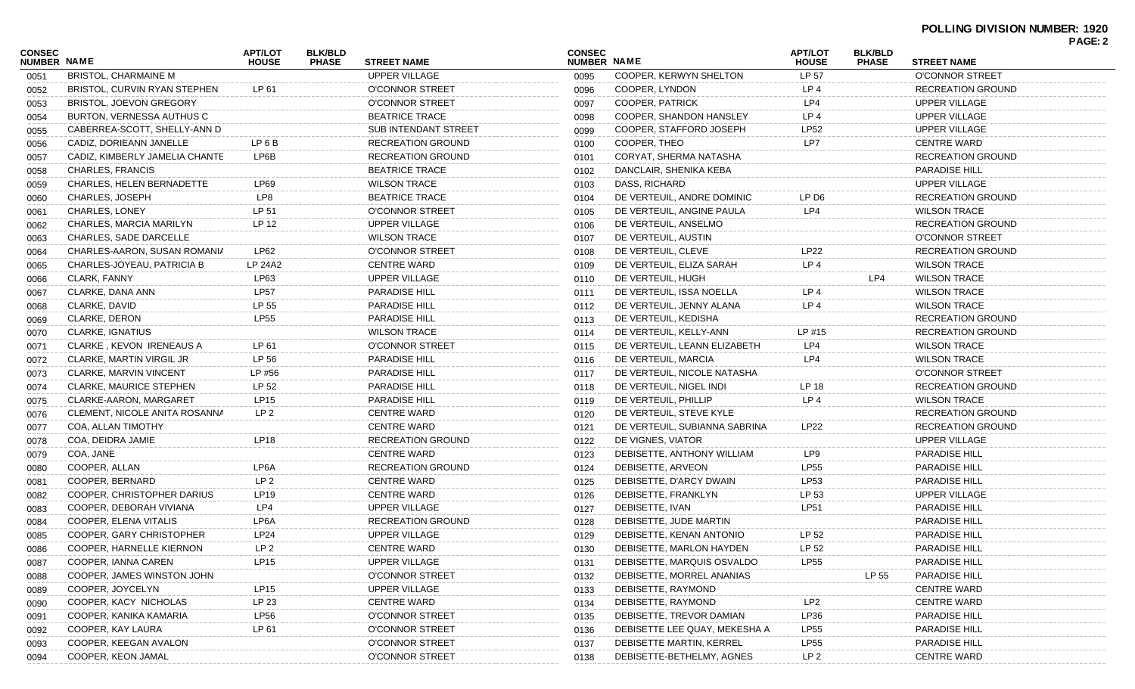| <b>CONSEC</b> |                                  | <b>APT/LOT</b>  | <b>BLK/BLD</b> |                                            | <b>CONSEC</b> |                               | <b>APT/LOT</b>        | <b>BLK/BLD</b> |                                       | <b>PAGE: 2</b> |
|---------------|----------------------------------|-----------------|----------------|--------------------------------------------|---------------|-------------------------------|-----------------------|----------------|---------------------------------------|----------------|
| NUMBER NAME   | <b>BRISTOL, CHARMAINE M</b>      | <b>HOUSE</b>    | <b>PHASE</b>   | <b>STREET NAME</b><br><b>UPPER VILLAGE</b> | NUMBER NAME   | COOPER, KERWYN SHELTON        | <b>HOUSE</b><br>LP 57 | <b>PHASE</b>   | <b>STREET NAME</b><br>O'CONNOR STREET |                |
| 0051          | BRISTOL, CURVIN RYAN STEPHEN     | LP 61           |                | O'CONNOR STREET                            | 0095          | COOPER, LYNDON                | LP <sub>4</sub>       |                | RECREATION GROUND                     |                |
| 0052          |                                  |                 |                | <b>O'CONNOR STREET</b>                     | 0096          | <b>COOPER, PATRICK</b>        | LP4                   |                | <b>UPPER VILLAGE</b>                  |                |
| 0053          | <b>BRISTOL, JOEVON GREGORY</b>   |                 |                |                                            | 0097          |                               |                       |                |                                       |                |
| 0054          | BURTON, VERNESSA AUTHUS C        |                 |                | <b>BEATRICE TRACE</b>                      | 0098          | COOPER, SHANDON HANSLEY       | LP <sub>4</sub>       |                | <b>UPPER VILLAGE</b>                  |                |
| 0055          | CABERREA-SCOTT, SHELLY-ANN D     |                 |                | <b>SUB INTENDANT STREET</b>                | 0099          | COOPER, STAFFORD JOSEPH       | LP52                  |                | <b>UPPER VILLAGE</b>                  |                |
| 0056          | CADIZ, DORIEANN JANELLE          | LP 6 B          |                | <b>RECREATION GROUND</b>                   | 0100          | COOPER, THEO                  | LP7                   |                | <b>CENTRE WARD</b>                    |                |
| 0057          | CADIZ, KIMBERLY JAMELIA CHANTE   | LP6B            |                | <b>RECREATION GROUND</b>                   | 0101          | <b>CORYAT, SHERMA NATASHA</b> |                       |                | <b>RECREATION GROUND</b>              |                |
| 0058          | CHARLES, FRANCIS                 |                 |                | <b>BEATRICE TRACE</b>                      | 0102          | DANCLAIR, SHENIKA KEBA        |                       |                | PARADISE HILL                         |                |
| 0059          | <b>CHARLES, HELEN BERNADETTE</b> | LP69            |                | <b>WILSON TRACE</b>                        | 0103          | DASS, RICHARD                 |                       |                | UPPER VILLAGE                         |                |
| 0060          | CHARLES, JOSEPH                  | LP8             |                | <b>BEATRICE TRACE</b>                      | 0104          | DE VERTEUIL, ANDRE DOMINIC    | LP D <sub>6</sub>     |                | <b>RECREATION GROUND</b>              |                |
| 0061          | <b>CHARLES, LONEY</b>            | LP 51           |                | <b>O'CONNOR STREET</b>                     | 0105          | DE VERTEUIL, ANGINE PAULA     | LP4                   |                | <b>WILSON TRACE</b>                   |                |
| 0062          | CHARLES, MARCIA MARILYN          | LP 12           |                | <b>UPPER VILLAGE</b>                       | 0106          | DE VERTEUIL, ANSELMO          |                       |                | <b>RECREATION GROUND</b>              |                |
| 0063          | <b>CHARLES, SADE DARCELLE</b>    |                 |                | <b>WILSON TRACE</b>                        | 0107          | DE VERTEUIL, AUSTIN           |                       |                | <b>O'CONNOR STREET</b>                |                |
| 0064          | CHARLES-AARON, SUSAN ROMANIA     | LP62            |                | O'CONNOR STREET                            | 0108          | DE VERTEUIL, CLEVE            | <b>LP22</b>           |                | RECREATION GROUND                     |                |
| 0065          | CHARLES-JOYEAU, PATRICIA B       | LP 24A2         |                | <b>CENTRE WARD</b>                         | 0109          | DE VERTEUIL, ELIZA SARAH      | LP <sub>4</sub>       |                | <b>WILSON TRACE</b>                   |                |
| 0066          | CLARK, FANNY                     | LP63            |                | <b>UPPER VILLAGE</b>                       | 0110          | DE VERTEUIL, HUGH             |                       | LP4            | <b>WILSON TRACE</b>                   |                |
| 0067          | CLARKE, DANA ANN                 | <b>LP57</b>     |                | <b>PARADISE HILL</b>                       | 0111          | DE VERTEUIL, ISSA NOELLA      | LP <sub>4</sub>       |                | <b>WILSON TRACE</b>                   |                |
| 0068          | CLARKE, DAVID                    | LP 55           |                | <b>PARADISE HILL</b>                       | 0112          | DE VERTEUIL, JENNY ALANA      | LP <sub>4</sub>       |                | <b>WILSON TRACE</b>                   |                |
| 0069          | CLARKE, DERON                    | <b>LP55</b>     |                | <b>PARADISE HILL</b>                       | 0113          | DE VERTEUIL, KEDISHA          |                       |                | RECREATION GROUND                     |                |
| 0070          | CLARKE, IGNATIUS                 |                 |                | <b>WILSON TRACE</b>                        | 0114          | DE VERTEUIL, KELLY-ANN        | LP #15                |                | RECREATION GROUND                     |                |
| 0071          | CLARKE, KEVON IRENEAUS A         | LP 61           |                | <b>O'CONNOR STREET</b>                     | 0115          | DE VERTEUIL, LEANN ELIZABETH  | LP4                   |                | <b>WILSON TRACE</b>                   |                |
| 0072          | CLARKE, MARTIN VIRGIL JR         | LP 56           |                | <b>PARADISE HILL</b>                       | 0116          | DE VERTEUIL, MARCIA           | LP4                   |                | <b>WILSON TRACE</b>                   |                |
| 0073          | CLARKE, MARVIN VINCENT           | LP #56          |                | <b>PARADISE HILL</b>                       | 0117          | DE VERTEUIL, NICOLE NATASHA   |                       |                | <b>O'CONNOR STREET</b>                |                |
| 0074          | <b>CLARKE, MAURICE STEPHEN</b>   | LP 52           |                | <b>PARADISE HILL</b>                       | 0118          | DE VERTEUIL, NIGEL INDI       | LP 18                 |                | RECREATION GROUND                     |                |
| 0075          | CLARKE-AARON, MARGARET           | LP15            |                | <b>PARADISE HILL</b>                       | 0119          | DE VERTEUIL, PHILLIP          | LP <sub>4</sub>       |                | <b>WILSON TRACE</b>                   |                |
| 0076          | CLEMENT, NICOLE ANITA ROSANNA    | LP <sub>2</sub> |                | <b>CENTRE WARD</b>                         | 0120          | DE VERTEUIL, STEVE KYLE       |                       |                | RECREATION GROUND                     |                |
| 0077          | COA, ALLAN TIMOTHY               |                 |                | <b>CENTRE WARD</b>                         | 0121          | DE VERTEUIL, SUBIANNA SABRINA | LP22                  |                | RECREATION GROUND                     |                |
| 0078          | COA, DEIDRA JAMIE                | <b>LP18</b>     |                | <b>RECREATION GROUND</b>                   | 0122          | DE VIGNES, VIATOR             |                       |                | <b>UPPER VILLAGE</b>                  |                |
| 0079          | COA, JANE                        |                 |                | <b>CENTRE WARD</b>                         | 0123          | DEBISETTE, ANTHONY WILLIAM    | LP9                   |                | PARADISE HILL                         |                |
| 0080          | COOPER, ALLAN                    | LP6A            |                | RECREATION GROUND                          | 0124          | DEBISETTE, ARVEON             | <b>LP55</b>           |                | PARADISE HILL                         |                |
| 0081          | COOPER, BERNARD                  | LP <sub>2</sub> |                | <b>CENTRE WARD</b>                         | 0125          | DEBISETTE, D'ARCY DWAIN       | LP53                  |                | PARADISE HILL                         |                |
| 0082          | COOPER, CHRISTOPHER DARIUS       | LP19            |                | <b>CENTRE WARD</b>                         | 0126          | DEBISETTE, FRANKLYN           | LP 53                 |                | <b>UPPER VILLAGE</b>                  |                |
| 0083          | COOPER, DEBORAH VIVIANA          | LP4             |                | UPPER VILLAGE                              | 0127          | DEBISETTE, IVAN               | <b>LP51</b>           |                | <b>PARADISE HILL</b>                  |                |
| 0084          | COOPER, ELENA VITALIS            | LP6A            |                | <b>RECREATION GROUND</b>                   | 0128          | DEBISETTE, JUDE MARTIN        |                       |                | <b>PARADISE HILL</b>                  |                |
| 0085          | COOPER, GARY CHRISTOPHER         | LP24            |                | <b>UPPER VILLAGE</b>                       | 0129          | DEBISETTE, KENAN ANTONIO      | LP 52                 |                | <b>PARADISE HILL</b>                  |                |
| 0086          | COOPER, HARNELLE KIERNON         | LP <sub>2</sub> |                | <b>CENTRE WARD</b>                         | 0130          | DEBISETTE, MARLON HAYDEN      | LP 52                 |                | PARADISE HILL                         |                |
| 0087          | COOPER, IANNA CAREN              | <b>LP15</b>     |                | UPPER VILLAGE                              | 0131          | DEBISETTE, MARQUIS OSVALDO    | <b>LP55</b>           |                | <b>PARADISE HILL</b>                  |                |
| 0088          | COOPER, JAMES WINSTON JOHN       |                 |                | <b>O'CONNOR STREET</b>                     | 0132          | DEBISETTE, MORREL ANANIAS     |                       | LP 55          | <b>PARADISE HILL</b>                  |                |
| 0089          | COOPER, JOYCELYN                 | LP15            |                | <b>UPPER VILLAGE</b>                       | 0133          | DEBISETTE, RAYMOND            |                       |                | <b>CENTRE WARD</b>                    |                |
| 0090          | COOPER, KACY NICHOLAS            | LP 23           |                | <b>CENTRE WARD</b>                         | 0134          | DEBISETTE, RAYMOND            | LP <sub>2</sub>       |                | <b>CENTRE WARD</b>                    |                |
| 0091          | COOPER, KANIKA KAMARIA           | <b>LP56</b>     |                | O'CONNOR STREET                            | 0135          | DEBISETTE, TREVOR DAMIAN      | LP36                  |                | PARADISE HILL                         |                |
| 0092          | COOPER, KAY LAURA                | LP 61           |                | <b>O'CONNOR STREET</b>                     | 0136          | DEBISETTE LEE QUAY, MEKESHA A | <b>LP55</b>           |                | <b>PARADISE HILL</b>                  |                |
| 0093          | COOPER, KEEGAN AVALON            |                 |                | <b>O'CONNOR STREET</b>                     | 0137          | DEBISETTE MARTIN, KERREL      | <b>LP55</b>           |                | <b>PARADISE HILL</b>                  |                |
| 0094          | COOPER, KEON JAMAL               |                 |                | O'CONNOR STREET                            | 0138          | DEBISETTE-BETHELMY, AGNES     | LP <sub>2</sub>       |                | <b>CENTRE WARD</b>                    |                |
|               |                                  |                 |                |                                            |               |                               |                       |                |                                       |                |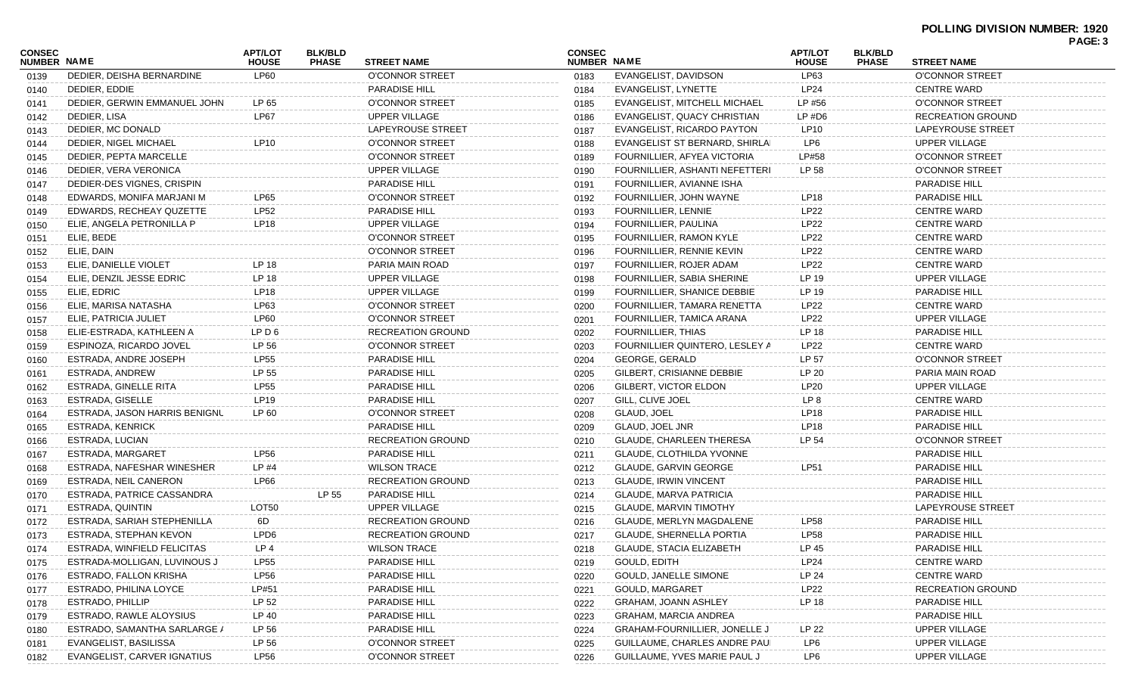| <b>CONSEC</b>      |                               | <b>APT/LOT</b>   | <b>BLK/BLD</b> |                          | <b>CONSEC</b> |                                      | <b>APT/LOT</b>  | <b>BLK/BLD</b> |                          | PAGE: 3 |
|--------------------|-------------------------------|------------------|----------------|--------------------------|---------------|--------------------------------------|-----------------|----------------|--------------------------|---------|
| <b>NUMBER NAME</b> |                               | <b>HOUSE</b>     | <b>PHASE</b>   | <b>STREET NAME</b>       | NUMBER NAME   |                                      | <b>HOUSE</b>    | <b>PHASE</b>   | <b>STREET NAME</b>       |         |
| 0139               | DEDIER, DEISHA BERNARDINE     | <b>LP60</b>      |                | <b>O'CONNOR STREET</b>   | 0183          | EVANGELIST, DAVIDSON                 | LP63            |                | <b>O'CONNOR STREET</b>   |         |
| 0140               | DEDIER, EDDIE                 |                  |                | <b>PARADISE HILL</b>     | 0184          | EVANGELIST, LYNETTE                  | <b>LP24</b>     |                | <b>CENTRE WARD</b>       |         |
| 0141               | DEDIER. GERWIN EMMANUEL JOHN  | LP 65            |                | O'CONNOR STREET          | 0185          | <b>EVANGELIST, MITCHELL MICHAEL</b>  | LP #56          |                | <b>O'CONNOR STREET</b>   |         |
| 0142               | DEDIER, LISA                  | <b>LP67</b>      |                | UPPER VILLAGE            | 0186          | EVANGELIST, QUACY CHRISTIAN          | $LP$ #D6        |                | <b>RECREATION GROUND</b> |         |
| 0143               | DEDIER, MC DONALD             |                  |                | LAPEYROUSE STREET        | 0187          | EVANGELIST, RICARDO PAYTON           | LP10            |                | LAPEYROUSE STREET        |         |
| 0144               | DEDIER, NIGEL MICHAEL         | LP10             |                | O'CONNOR STREET          | 0188          | EVANGELIST ST BERNARD, SHIRLAI       | LP6             |                | UPPER VILLAGE            |         |
| 0145               | DEDIER, PEPTA MARCELLE        |                  |                | O'CONNOR STREET          | 0189          | FOURNILLIER, AFYEA VICTORIA          | LP#58           |                | <b>O'CONNOR STREET</b>   |         |
| 0146               | DEDIER, VERA VERONICA         |                  |                | UPPER VILLAGE            | 0190          | FOURNILLIER, ASHANTI NEFETTERI       | LP 58           |                | <b>O'CONNOR STREET</b>   |         |
| 0147               | DEDIER-DES VIGNES, CRISPIN    |                  |                | <b>PARADISE HILL</b>     | 0191          | FOURNILLIER, AVIANNE ISHA            |                 |                | <b>PARADISE HILL</b>     |         |
| 0148               | EDWARDS, MONIFA MARJANI M     | LP65             |                | <b>O'CONNOR STREET</b>   | 0192          | FOURNILLIER, JOHN WAYNE              | LP18            |                | <b>PARADISE HILL</b>     |         |
| 0149               | EDWARDS, RECHEAY QUZETTE      | <b>LP52</b>      |                | <b>PARADISE HILL</b>     | 0193          | FOURNILLIER, LENNIE                  | <b>LP22</b>     |                | <b>CENTRE WARD</b>       |         |
| 0150               | ELIE, ANGELA PETRONILLA P     | <b>LP18</b>      |                | UPPER VILLAGE            | 0194          | FOURNILLIER, PAULINA                 | LP22            |                | <b>CENTRE WARD</b>       |         |
| 0151               | ELIE, BEDE                    |                  |                | <b>O'CONNOR STREET</b>   | 0195          | FOURNILLIER, RAMON KYLE              | <b>LP22</b>     |                | <b>CENTRE WARD</b>       |         |
| 0152               | ELIE, DAIN                    |                  |                | O'CONNOR STREET          | 0196          | FOURNILLIER, RENNIE KEVIN            | LP22            |                | <b>CENTRE WARD</b>       |         |
| 0153               | ELIE, DANIELLE VIOLET         | LP 18            |                | PARIA MAIN ROAD          | 0197          | FOURNILLIER, ROJER ADAM              | LP22            |                | <b>CENTRE WARD</b>       |         |
| 0154               | ELIE, DENZIL JESSE EDRIC      | LP 18            |                | <b>UPPER VILLAGE</b>     | 0198          | FOURNILLIER, SABIA SHERINE           | LP 19           |                | UPPER VILLAGE            |         |
| 0155               | ELIE, EDRIC                   | <b>LP18</b>      |                | UPPER VILLAGE            | 0199          | FOURNILLIER, SHANICE DEBBIE          | LP 19           |                | <b>PARADISE HILL</b>     |         |
| 0156               | ELIE, MARISA NATASHA          | LP63             |                | <b>O'CONNOR STREET</b>   | 0200          | FOURNILLIER, TAMARA RENETTA          | LP22            |                | <b>CENTRE WARD</b>       |         |
| 0157               | ELIE, PATRICIA JULIET         | <b>LP60</b>      |                | <b>O'CONNOR STREET</b>   | 0201          | FOURNILLIER, TAMICA ARANA            | <b>LP22</b>     |                | UPPER VILLAGE            |         |
| 0158               | ELIE-ESTRADA, KATHLEEN A      | LP D 6           |                | <b>RECREATION GROUND</b> | 0202          | <b>FOURNILLIER, THIAS</b>            | LP 18           |                | <b>PARADISE HILL</b>     |         |
| 0159               | ESPINOZA, RICARDO JOVEL       | LP 56            |                | <b>O'CONNOR STREET</b>   | 0203          | FOURNILLIER QUINTERO, LESLEY A       | <b>LP22</b>     |                | <b>CENTRE WARD</b>       |         |
| 0160               | ESTRADA, ANDRE JOSEPH         | <b>LP55</b>      |                | <b>PARADISE HILL</b>     | 0204          | GEORGE, GERALD                       | LP 57           |                | <b>O'CONNOR STREET</b>   |         |
| 0161               | ESTRADA, ANDREW               | LP 55            |                | <b>PARADISE HILL</b>     | 0205          | GILBERT, CRISIANNE DEBBIE            | LP 20           |                | PARIA MAIN ROAD          |         |
| 0162               | ESTRADA, GINELLE RITA         | <b>LP55</b>      |                | <b>PARADISE HILL</b>     | 0206          | GILBERT, VICTOR ELDON                | <b>LP20</b>     |                | UPPER VILLAGE            |         |
| 0163               | ESTRADA, GISELLE              | LP19             |                | <b>PARADISE HILL</b>     | 0207          | GILL, CLIVE JOEL                     | LP <sub>8</sub> |                | <b>CENTRE WARD</b>       |         |
| 0164               | ESTRADA, JASON HARRIS BENIGNU | LP 60            |                | O'CONNOR STREET          | 0208          | GLAUD, JOEL                          | <b>LP18</b>     |                | <b>PARADISE HILL</b>     |         |
| 0165               | ESTRADA, KENRICK              |                  |                | <b>PARADISE HILL</b>     | 0209          | GLAUD, JOEL JNR                      | LP18            |                | <b>PARADISE HILL</b>     |         |
| 0166               | ESTRADA, LUCIAN               |                  |                | <b>RECREATION GROUND</b> | 0210          | <b>GLAUDE, CHARLEEN THERESA</b>      | LP 54           |                | <b>O'CONNOR STREET</b>   |         |
| 0167               | ESTRADA, MARGARET             | LP56             |                | <b>PARADISE HILL</b>     | 0211          | GLAUDE, CLOTHILDA YVONNE             |                 |                | <b>PARADISE HILL</b>     |         |
| 0168               | ESTRADA, NAFESHAR WINESHER    | LP #4            |                | <b>WILSON TRACE</b>      | 0212          | <b>GLAUDE, GARVIN GEORGE</b>         | LP51            |                | <b>PARADISE HILL</b>     |         |
| 0169               | ESTRADA, NEIL CANERON         | LP66             |                | <b>RECREATION GROUND</b> | 0213          | <b>GLAUDE, IRWIN VINCENT</b>         |                 |                | <b>PARADISE HILL</b>     |         |
| 0170               | ESTRADA, PATRICE CASSANDRA    |                  | LP 55          | <b>PARADISE HILL</b>     | 0214          | GLAUDE, MARVA PATRICIA               |                 |                | <b>PARADISE HILL</b>     |         |
| 0171               | ESTRADA, QUINTIN              | LOT50            |                | UPPER VILLAGE            | 0215          | GLAUDE, MARVIN TIMOTHY               |                 |                | LAPEYROUSE STREET        |         |
| 0172               | ESTRADA, SARIAH STEPHENILLA   | 6D.              |                | <b>RECREATION GROUND</b> | 0216          | GLAUDE, MERLYN MAGDALENE             | LP58            |                | <b>PARADISE HILL</b>     |         |
| 0173               | ESTRADA, STEPHAN KEVON        | LPD6             |                | <b>RECREATION GROUND</b> | 0217          | <b>GLAUDE, SHERNELLA PORTIA</b>      | <b>LP58</b>     |                | <b>PARADISE HILL</b>     |         |
| 0174               | ESTRADA, WINFIELD FELICITAS   | LP <sub>4</sub>  |                | <b>WILSON TRACE</b>      | 0218          | GLAUDE, STACIA ELIZABETH             | LP 45           |                | PARADISE HILL            |         |
| 0175               | ESTRADA-MOLLIGAN, LUVINOUS J  | <b>LP55</b>      |                | PARADISE HILL            | 0219          | GOULD, EDITH                         | <b>LP24</b>     |                | <b>CENTRE WARD</b>       |         |
| 0176               | ESTRADO, FALLON KRISHA        | LP <sub>56</sub> |                | PARADISE HILL            | 0220          | GOULD, JANELLE SIMONE                | LP 24           |                | <b>CENTRE WARD</b>       |         |
| 0177               | ESTRADO, PHILINA LOYCE        | LP#51            |                | PARADISE HILL            | 0221          | <b>GOULD, MARGARET</b>               | LP22            |                | <b>RECREATION GROUND</b> |         |
| 0178               | ESTRADO, PHILLIP              | LP 52            |                | PARADISE HILL            | 0222          | <b>GRAHAM, JOANN ASHLEY</b>          | LP 18           |                | PARADISE HILL            |         |
| 0179               | ESTRADO, RAWLE ALOYSIUS       | LP 40            |                | PARADISE HILL            | 0223          | <b>GRAHAM, MARCIA ANDREA</b>         |                 |                | <b>PARADISE HILL</b>     |         |
| 0180               | ESTRADO, SAMANTHA SARLARGE /  | LP 56            |                | PARADISE HILL            | 0224          | <b>GRAHAM-FOURNILLIER, JONELLE J</b> | LP 22           |                | UPPER VILLAGE            |         |
| 0181               | EVANGELIST, BASILISSA         | LP 56            |                | <b>O'CONNOR STREET</b>   | 0225          | GUILLAUME, CHARLES ANDRE PAUI        | LP6             |                | <b>UPPER VILLAGE</b>     |         |
| 0182               | EVANGELIST, CARVER IGNATIUS   | <b>LP56</b>      |                | O'CONNOR STREET          | 0226          | GUILLAUME, YVES MARIE PAUL J         | LP6             |                | UPPER VILLAGE            |         |
|                    |                               |                  |                |                          |               |                                      |                 |                |                          |         |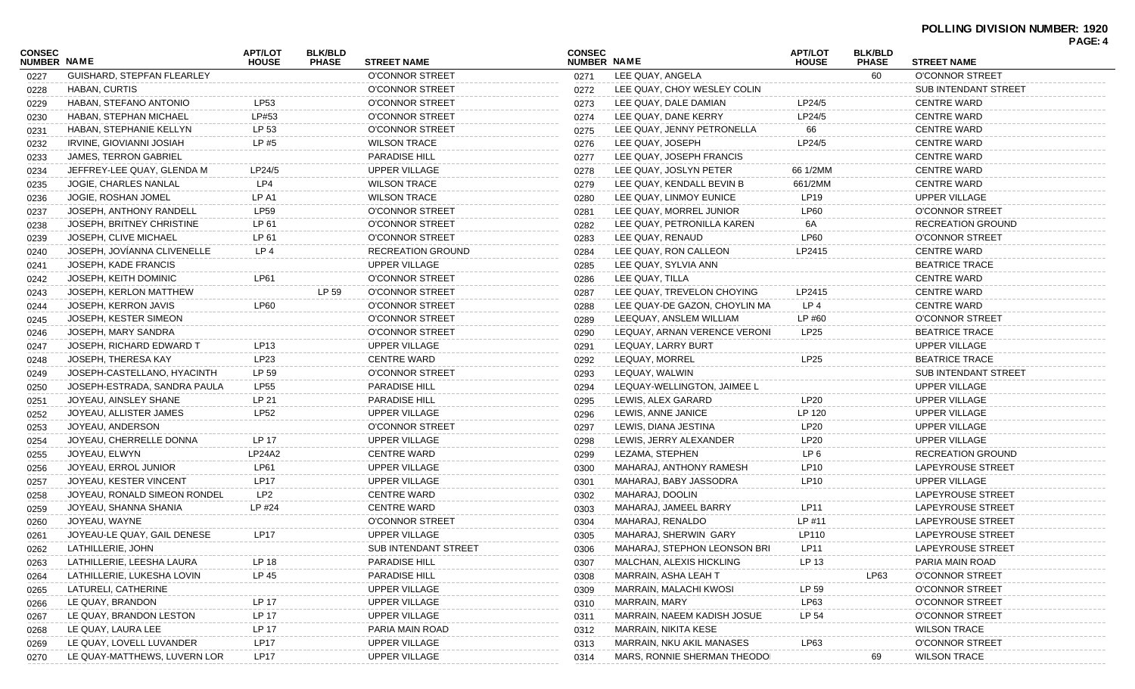## **POLLING DIVISION NUMBER: 1920**

|                              |                              |                                |                                |                      |                              |                               |                                |                                |                             | PAGE: 4 |
|------------------------------|------------------------------|--------------------------------|--------------------------------|----------------------|------------------------------|-------------------------------|--------------------------------|--------------------------------|-----------------------------|---------|
| <b>CONSEC</b><br>NUMBER NAME |                              | <b>APT/LOT</b><br><b>HOUSE</b> | <b>BLK/BLD</b><br><b>PHASE</b> | <b>STREET NAME</b>   | <b>CONSEC</b><br>NUMBER NAME |                               | <b>APT/LOT</b><br><b>HOUSE</b> | <b>BLK/BLD</b><br><b>PHASE</b> | <b>STREET NAME</b>          |         |
| 0227                         | GUISHARD, STEPFAN FLEARLEY   |                                |                                | O'CONNOR STREET      | 0271                         | LEE QUAY, ANGELA              |                                | 60                             | O'CONNOR STREET             |         |
| 0228                         | HABAN, CURTIS                |                                |                                | O'CONNOR STREET      | 0272                         | LEE QUAY, CHOY WESLEY COLIN   |                                |                                | <b>SUB INTENDANT STREET</b> |         |
| 0229                         | HABAN, STEFANO ANTONIO       | LP53                           |                                | O'CONNOR STREET      | 0273                         | LEE QUAY, DALE DAMIAN         | LP24/5                         |                                | <b>CENTRE WARD</b>          |         |
| 0230                         | HABAN, STEPHAN MICHAEL       | LP#53                          |                                | O'CONNOR STREET      | 0274                         | LEE QUAY, DANE KERRY          | LP24/5                         |                                | <b>CENTRE WARD</b>          |         |
| 0231                         | HABAN, STEPHANIE KELLYN      | LP 53                          |                                | O'CONNOR STREET      | 0275                         | LEE QUAY, JENNY PETRONELLA    | 66                             |                                | <b>CENTRE WARD</b>          |         |
| 0232                         | IRVINE, GIOVIANNI JOSIAH     | LP #5                          |                                | <b>WILSON TRACE</b>  | 0276                         | LEE QUAY, JOSEPH              | LP24/5                         |                                | <b>CENTRE WARD</b>          |         |
| 0233                         | <b>JAMES, TERRON GABRIEL</b> |                                |                                | <b>PARADISE HILL</b> | 0277                         | LEE QUAY, JOSEPH FRANCIS      |                                |                                | <b>CENTRE WARD</b>          |         |
| 0234                         | JEFFREY-LEE QUAY, GLENDA M   | LP24/5                         |                                | <b>UPPER VILLAGE</b> | 0278                         | LEE QUAY, JOSLYN PETER        | 66 1/2MM                       |                                | <b>CENTRE WARD</b>          |         |
| 0235                         | JOGIE, CHARLES NANLAL        | LP4                            |                                | <b>WILSON TRACE</b>  | 0279                         | LEE QUAY, KENDALL BEVIN B     | 661/2MM                        |                                | <b>CENTRE WARD</b>          |         |
| 0236                         | JOGIE, ROSHAN JOMEL          | LP A1                          |                                | <b>WILSON TRACE</b>  | 0280                         | LEE QUAY, LINMOY EUNICE       | LP <sub>19</sub>               |                                | UPPER VILLAGE               |         |
| 0237                         | JOSEPH, ANTHONY RANDELL      | <b>LP59</b>                    |                                | O'CONNOR STREET      | 0281                         | LEE QUAY, MORREL JUNIOR       | LP60                           |                                | O'CONNOR STREET             |         |
| 0238                         | JOSEPH, BRITNEY CHRISTINE    | LP 61                          |                                | O'CONNOR STREET      | 0282                         | LEE QUAY, PETRONILLA KAREN    | 6A                             |                                | RECREATION GROUND           |         |
| 0239                         | JOSEPH, CLIVE MICHAEL        | LP 61                          |                                | O'CONNOR STREET      | 0283                         | LEE QUAY, RENAUD              | <b>LP60</b>                    |                                | O'CONNOR STREET             |         |
| 0240                         | JOSEPH, JOVÍANNA CLIVENELLE  | LP4                            |                                | RECREATION GROUND    | 0284                         | LEE QUAY, RON CALLEON         | LP2415                         |                                | <b>CENTRE WARD</b>          |         |
| 0241                         | JOSEPH, KADE FRANCIS         |                                |                                | UPPER VILLAGE        | 0285                         | LEE QUAY, SYLVIA ANN          |                                |                                | <b>BEATRICE TRACE</b>       |         |
| 0242                         | JOSEPH, KEITH DOMINIC        | <b>LP61</b>                    |                                | O'CONNOR STREET      | 0286                         | LEE QUAY, TILLA               |                                |                                | <b>CENTRE WARD</b>          |         |
| 0243                         | JOSEPH, KERLON MATTHEW       |                                | LP 59                          | O'CONNOR STREET      | 0287                         | LEE QUAY, TREVELON CHOYING    | LP2415                         |                                | <b>CENTRE WARD</b>          |         |
| 0244                         | JOSEPH, KERRON JAVIS         | <b>LP60</b>                    |                                | O'CONNOR STREET      | 0288                         | LEE QUAY-DE GAZON, CHOYLIN MA | LP <sub>4</sub>                |                                | <b>CENTRE WARD</b>          |         |
| 0245                         | JOSEPH, KESTER SIMEON        |                                |                                | O'CONNOR STREET      | 0289                         | LEEQUAY, ANSLEM WILLIAM       | LP #60                         |                                | O'CONNOR STREET             |         |
| 0246                         | JOSEPH, MARY SANDRA          |                                |                                | O'CONNOR STREET      | 0290                         | LEQUAY, ARNAN VERENCE VERONI  | LP <sub>25</sub>               |                                | <b>BEATRICE TRACE</b>       |         |
| 0247                         | JOSEPH, RICHARD EDWARD T     | LP13                           |                                | <b>UPPER VILLAGE</b> | 0291                         | LEQUAY, LARRY BURT            |                                |                                | <b>UPPER VILLAGE</b>        |         |
| 0248                         | JOSEPH, THERESA KAY          | LP23                           |                                | <b>CENTRE WARD</b>   | 0292                         | LEQUAY, MORREL                | LP25                           |                                | <b>BEATRICE TRACE</b>       |         |
| 0249                         | JOSEPH-CASTELLANO, HYACINTH  | LP 59                          |                                | O'CONNOR STREET      | 0293                         | LEQUAY, WALWIN                |                                |                                | <b>SUB INTENDANT STREET</b> |         |
| 0250                         | JOSEPH-ESTRADA, SANDRA PAULA | LP55                           |                                | <b>PARADISE HILL</b> | 0294                         | LEQUAY-WELLINGTON, JAIMEE L   |                                |                                | <b>UPPER VILLAGE</b>        |         |
| 0251                         | JOYEAU, AINSLEY SHANE        | LP 21                          |                                | <b>PARADISE HILL</b> | 0295                         | LEWIS, ALEX GARARD            | <b>LP20</b>                    |                                | <b>UPPER VILLAGE</b>        |         |
| 0252                         | JOYEAU, ALLISTER JAMES       | <b>LP52</b>                    |                                | <b>UPPER VILLAGE</b> | 0296                         | LEWIS, ANNE JANICE            | LP 120                         |                                | <b>UPPER VILLAGE</b>        |         |
| 0253                         | JOYEAU, ANDERSON             |                                |                                | O'CONNOR STREET      | 0297                         | LEWIS, DIANA JESTINA          | <b>LP20</b>                    |                                | <b>UPPER VILLAGE</b>        |         |
| 0254                         | JOYEAU, CHERRELLE DONNA      | LP 17                          |                                | <b>UPPER VILLAGE</b> | 0298                         | LEWIS, JERRY ALEXANDER        | <b>LP20</b>                    |                                | UPPER VILLAGE               |         |
| 0255                         | JOYEAU, ELWYN                | <b>LP24A2</b>                  |                                | <b>CENTRE WARD</b>   | 0299                         | LEZAMA, STEPHEN               | LP <sub>6</sub>                |                                | RECREATION GROUND           |         |
| 0256                         | JOYEAU, ERROL JUNIOR         | LP61                           |                                | <b>UPPER VILLAGE</b> | 0300                         | MAHARAJ, ANTHONY RAMESH       | <b>LP10</b>                    |                                | LAPEYROUSE STREET           |         |
| 0257                         | JOYEAU, KESTER VINCENT       | <b>LP17</b>                    |                                | <b>UPPER VILLAGE</b> | 0301                         | MAHARAJ, BABY JASSODRA        | LP10                           |                                | <b>UPPER VILLAGE</b>        |         |
| 0258                         | JOYEAU, RONALD SIMEON RONDEL | LP <sub>2</sub>                |                                | <b>CENTRE WARD</b>   | 0302                         | MAHARAJ, DOOLIN               |                                |                                | LAPEYROUSE STREET           |         |
| 0259                         | JOYEAU, SHANNA SHANIA        | LP #24                         |                                | <b>CENTRE WARD</b>   | 0303                         | MAHARAJ, JAMEEL BARRY         | <b>LP11</b>                    |                                | LAPEYROUSE STREET           |         |
| 0260                         | JOYEAU, WAYNE                |                                |                                | O'CONNOR STREET      | 0304                         | MAHARAJ, RENALDO              | LP #11                         |                                | LAPEYROUSE STREET           |         |
| 0261                         | JOYEAU-LE QUAY, GAIL DENESE  | <b>LP17</b>                    |                                | UPPER VILLAGE        | 0305                         | MAHARAJ, SHERWIN GARY         | LP110                          |                                | LAPEYROUSE STREET           |         |
| 0262                         | LATHILLERIE, JOHN            |                                |                                | SUB INTENDANT STREET | 0306                         | MAHARAJ, STEPHON LEONSON BRI  | <b>LP11</b>                    |                                | LAPEYROUSE STREET           |         |
| 0263                         | LATHILLERIE, LEESHA LAURA    | LP 18                          |                                | PARADISE HILL        | 0307                         | MALCHAN, ALEXIS HICKLING      | LP 13                          |                                | PARIA MAIN ROAD             |         |
| 0264                         | LATHILLERIE, LUKESHA LOVIN   | LP 45                          |                                | PARADISE HILL        | 0308                         | MARRAIN, ASHA LEAH T          |                                | LP63                           | <b>O'CONNOR STREET</b>      |         |
| 0265                         | LATURELI, CATHERINE          |                                |                                | UPPER VILLAGE        | 0309                         | MARRAIN, MALACHI KWOSI        | LP 59                          |                                | O'CONNOR STREET             |         |
| 0266                         | LE QUAY, BRANDON             | LP 17                          |                                | UPPER VILLAGE        | 0310                         | MARRAIN, MARY                 | LP63                           |                                | O'CONNOR STREET             |         |
| 0267                         | LE QUAY, BRANDON LESTON      | LP 17                          |                                | UPPER VILLAGE        | 0311                         | MARRAIN, NAEEM KADISH JOSUE   | LP 54                          |                                | O'CONNOR STREET             |         |
| 0268                         | LE QUAY, LAURA LEE           | LP 17                          |                                | PARIA MAIN ROAD      | 0312                         | MARRAIN, NIKITA KESE          |                                |                                | <b>WILSON TRACE</b>         |         |
| 0269                         | LE QUAY, LOVELL LUVANDER     | LP17                           |                                | UPPER VILLAGE        | 0313                         | MARRAIN, NKU AKIL MANASES     | LP63                           |                                | O'CONNOR STREET             |         |
| 0270                         | LE QUAY-MATTHEWS, LUVERN LOR | LP17                           |                                | UPPER VILLAGE        | 0314                         | MARS, RONNIE SHERMAN THEODOI  |                                | 69                             | <b>WILSON TRACE</b>         |         |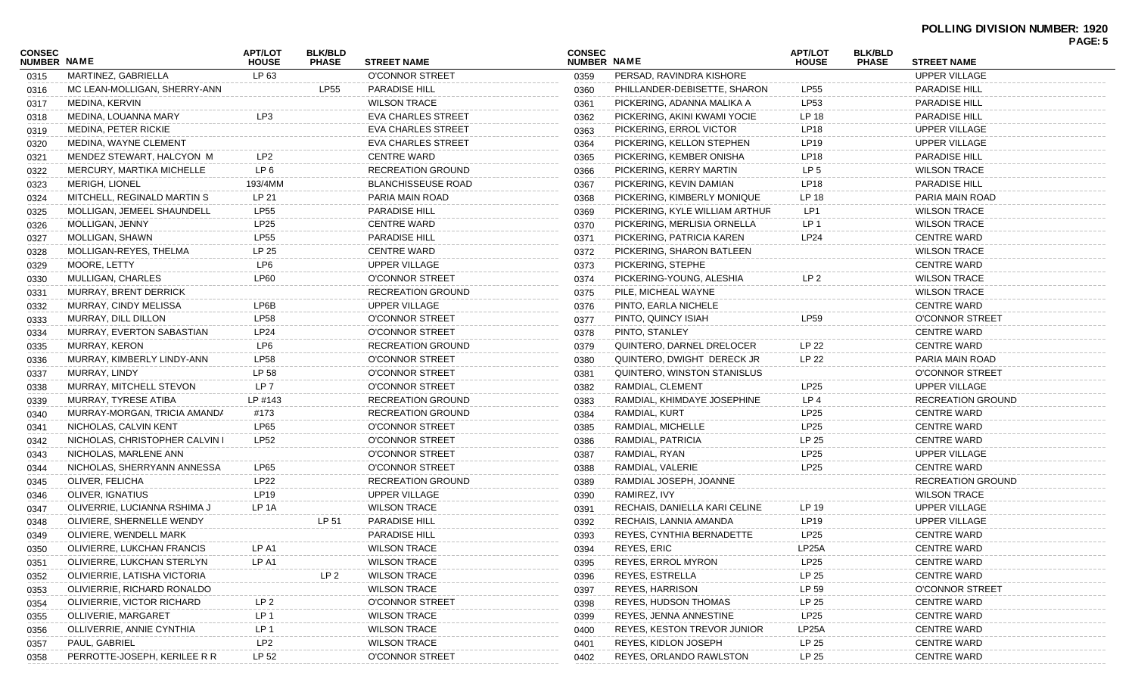#### **POLLING DIVISION NUMBER: 1920**

|                              |                                |                                |                                |                           |                              |                                |                                |                                |                          | <b>PAGE: 5</b> |
|------------------------------|--------------------------------|--------------------------------|--------------------------------|---------------------------|------------------------------|--------------------------------|--------------------------------|--------------------------------|--------------------------|----------------|
| <b>CONSEC</b><br>NUMBER NAME |                                | <b>APT/LOT</b><br><b>HOUSE</b> | <b>BLK/BLD</b><br><b>PHASE</b> | <b>STREET NAME</b>        | <b>CONSEC</b><br>NUMBER NAME |                                | <b>APT/LOT</b><br><b>HOUSE</b> | <b>BLK/BLD</b><br><b>PHASE</b> | <b>STREET NAME</b>       |                |
| 0315                         | MARTINEZ, GABRIELLA            | LP 63                          |                                | <b>O'CONNOR STREET</b>    | 0359                         | PERSAD, RAVINDRA KISHORE       |                                |                                | <b>UPPER VILLAGE</b>     |                |
| 0316                         | MC LEAN-MOLLIGAN, SHERRY-ANN   |                                | LP55                           | <b>PARADISE HILL</b>      | 0360                         | PHILLANDER-DEBISETTE, SHARON   | LP55                           |                                | <b>PARADISE HILL</b>     |                |
| 0317                         | MEDINA, KERVIN                 |                                |                                | <b>WILSON TRACE</b>       | 0361                         | PICKERING, ADANNA MALIKA A     | LP53                           |                                | <b>PARADISE HILL</b>     |                |
| 0318                         | MEDINA, LOUANNA MARY           | LP <sub>3</sub>                |                                | <b>EVA CHARLES STREET</b> | 0362                         | PICKERING, AKINI KWAMI YOCIE   | LP 18                          |                                | <b>PARADISE HILL</b>     |                |
| 0319                         | MEDINA, PETER RICKIE           |                                |                                | <b>EVA CHARLES STREET</b> | 0363                         | PICKERING, ERROL VICTOR        | <b>LP18</b>                    |                                | <b>UPPER VILLAGE</b>     |                |
| 0320                         | MEDINA, WAYNE CLEMENT          |                                |                                | <b>EVA CHARLES STREET</b> | 0364                         | PICKERING, KELLON STEPHEN      | <b>LP19</b>                    |                                | <b>UPPER VILLAGE</b>     |                |
| 0321                         | MENDEZ STEWART, HALCYON M      | LP2                            |                                | <b>CENTRE WARD</b>        | 0365                         | PICKERING, KEMBER ONISHA       | <b>LP18</b>                    |                                | <b>PARADISE HILL</b>     |                |
| 0322                         | MERCURY, MARTIKA MICHELLE      | LP <sub>6</sub>                |                                | <b>RECREATION GROUND</b>  | 0366                         | PICKERING, KERRY MARTIN        | LP <sub>5</sub>                |                                | <b>WILSON TRACE</b>      |                |
| 0323                         | <b>MERIGH, LIONEL</b>          | 193/4MM                        |                                | <b>BLANCHISSEUSE ROAD</b> | 0367                         | PICKERING, KEVIN DAMIAN        | <b>LP18</b>                    |                                | <b>PARADISE HILL</b>     |                |
| 0324                         | MITCHELL, REGINALD MARTIN S    | LP 21                          |                                | PARIA MAIN ROAD           | 0368                         | PICKERING, KIMBERLY MONIQUE    | LP 18                          |                                | PARIA MAIN ROAD          |                |
| 0325                         | MOLLIGAN, JEMEEL SHAUNDELL     | <b>LP55</b>                    |                                | <b>PARADISE HILL</b>      | 0369                         | PICKERING, KYLE WILLIAM ARTHUR | LP1                            |                                | <b>WILSON TRACE</b>      |                |
| 0326                         | MOLLIGAN, JENNY                | <b>LP25</b>                    |                                | <b>CENTRE WARD</b>        | 0370                         | PICKERING, MERLISIA ORNELLA    | LP <sub>1</sub>                |                                | <b>WILSON TRACE</b>      |                |
| 0327                         | MOLLIGAN, SHAWN                | <b>LP55</b>                    |                                | <b>PARADISE HILL</b>      | 0371                         | PICKERING, PATRICIA KAREN      | LP24                           |                                | <b>CENTRE WARD</b>       |                |
| 0328                         | MOLLIGAN-REYES, THELMA         | LP 25                          |                                | <b>CENTRE WARD</b>        | 0372                         | PICKERING, SHARON BATLEEN      |                                |                                | <b>WILSON TRACE</b>      |                |
| 0329                         | MOORE, LETTY                   | LP6                            |                                | <b>UPPER VILLAGE</b>      | 0373                         | PICKERING, STEPHE              |                                |                                | <b>CENTRE WARD</b>       |                |
| 0330                         | MULLIGAN, CHARLES              | <b>LP60</b>                    |                                | <b>O'CONNOR STREET</b>    | 0374                         | PICKERING-YOUNG, ALESHIA       | LP <sub>2</sub>                |                                | <b>WILSON TRACE</b>      |                |
| 0331                         | MURRAY, BRENT DERRICK          |                                |                                | <b>RECREATION GROUND</b>  | 0375                         | PILE, MICHEAL WAYNE            |                                |                                | <b>WILSON TRACE</b>      |                |
| 0332                         | MURRAY, CINDY MELISSA          | LP6B                           |                                | <b>UPPER VILLAGE</b>      | 0376                         | PINTO, EARLA NICHELE           |                                |                                | <b>CENTRE WARD</b>       |                |
| 0333                         | MURRAY, DILL DILLON            | <b>LP58</b>                    |                                | O'CONNOR STREET           | 0377                         | PINTO, QUINCY ISIAH            | LP59                           |                                | <b>O'CONNOR STREET</b>   |                |
| 0334                         | MURRAY, EVERTON SABASTIAN      | LP24                           |                                | <b>O'CONNOR STREET</b>    | 0378                         | PINTO, STANLEY                 |                                |                                | <b>CENTRE WARD</b>       |                |
| 0335                         | MURRAY, KERON                  | LP6                            |                                | <b>RECREATION GROUND</b>  | 0379                         | QUINTERO, DARNEL DRELOCER      | LP 22                          |                                | <b>CENTRE WARD</b>       |                |
| 0336                         | MURRAY, KIMBERLY LINDY-ANN     | <b>LP58</b>                    |                                | O'CONNOR STREET           | 0380                         | QUINTERO, DWIGHT DERECK JR     | LP 22                          |                                | PARIA MAIN ROAD          |                |
| 0337                         | MURRAY, LINDY                  | LP 58                          |                                | O'CONNOR STREET           | 0381                         | QUINTERO, WINSTON STANISLUS    |                                |                                | <b>O'CONNOR STREET</b>   |                |
| 0338                         | MURRAY, MITCHELL STEVON        | LP <sub>7</sub>                |                                | O'CONNOR STREET           | 0382                         | RAMDIAL, CLEMENT               | LP25                           |                                | <b>UPPER VILLAGE</b>     |                |
| 0339                         | MURRAY, TYRESE ATIBA           | LP #143                        |                                | <b>RECREATION GROUND</b>  | 0383                         | RAMDIAL, KHIMDAYE JOSEPHINE    | LP <sub>4</sub>                |                                | <b>RECREATION GROUND</b> |                |
| 0340                         | MURRAY-MORGAN, TRICIA AMANDA   | #173                           |                                | <b>RECREATION GROUND</b>  | 0384                         | RAMDIAL, KURT                  | LP25                           |                                | <b>CENTRE WARD</b>       |                |
| 0341                         | NICHOLAS, CALVIN KENT          | LP65                           |                                | O'CONNOR STREET           | 0385                         | RAMDIAL, MICHELLE              | LP25                           |                                | <b>CENTRE WARD</b>       |                |
| 0342                         | NICHOLAS, CHRISTOPHER CALVIN I | <b>LP52</b>                    |                                | O'CONNOR STREET           | 0386                         | RAMDIAL, PATRICIA              | LP 25                          |                                | <b>CENTRE WARD</b>       |                |
| 0343                         | NICHOLAS, MARLENE ANN          |                                |                                | O'CONNOR STREET           | 0387                         | RAMDIAL, RYAN                  | LP25                           |                                | <b>UPPER VILLAGE</b>     |                |
| 0344                         | NICHOLAS, SHERRYANN ANNESSA    | LP65                           |                                | O'CONNOR STREET           | 0388                         | RAMDIAL, VALERIE               | LP25                           |                                | <b>CENTRE WARD</b>       |                |
| 0345                         | OLIVER, FELICHA                | LP22                           |                                | <b>RECREATION GROUND</b>  | 0389                         | RAMDIAL JOSEPH, JOANNE         |                                |                                | <b>RECREATION GROUND</b> |                |
| 0346                         | OLIVER, IGNATIUS               | LP19                           |                                | <b>UPPER VILLAGE</b>      | 0390                         | RAMIREZ, IVY                   |                                |                                | <b>WILSON TRACE</b>      |                |
| 0347                         | OLIVERRIE, LUCIANNA RSHIMA J   | LP 1A                          |                                | <b>WILSON TRACE</b>       | 0391                         | RECHAIS, DANIELLA KARI CELINE  | LP 19                          |                                | <b>UPPER VILLAGE</b>     |                |
| 0348                         | OLIVIERE, SHERNELLE WENDY      |                                | LP 51                          | <b>PARADISE HILL</b>      | 0392                         | RECHAIS, LANNIA AMANDA         | <b>LP19</b>                    |                                | <b>UPPER VILLAGE</b>     |                |
| 0349                         | OLIVIERE, WENDELL MARK         |                                |                                | <b>PARADISE HILL</b>      | 0393                         | REYES, CYNTHIA BERNADETTE      | LP25                           |                                | <b>CENTRE WARD</b>       |                |
| 0350                         | OLIVIERRE, LUKCHAN FRANCIS     | LP A1                          |                                | <b>WILSON TRACE</b>       | 0394                         | <b>REYES, ERIC</b>             | LP <sub>25</sub> A             |                                | <b>CENTRE WARD</b>       |                |
| 0351                         | OLIVIERRE, LUKCHAN STERLYN     | LP A1                          |                                | <b>WILSON TRACE</b>       | 0395                         | <b>REYES, ERROL MYRON</b>      | LP25                           |                                | <b>CENTRE WARD</b>       |                |
| 0352                         | OLIVIERRIE, LATISHA VICTORIA   |                                | LP <sub>2</sub>                | <b>WILSON TRACE</b>       | 0396                         | REYES, ESTRELLA                | LP 25                          |                                | <b>CENTRE WARD</b>       |                |
| 0353                         | OLIVIERRIE, RICHARD RONALDO    |                                |                                | <b>WILSON TRACE</b>       | 0397                         | <b>REYES, HARRISON</b>         | LP 59                          |                                | O'CONNOR STREET          |                |
| 0354                         | OLIVIERRIE, VICTOR RICHARD     | LP <sub>2</sub>                |                                | <b>O'CONNOR STREET</b>    | 0398                         | <b>REYES, HUDSON THOMAS</b>    | LP 25                          |                                | <b>CENTRE WARD</b>       |                |
| 0355                         | OLLIVERIE, MARGARET            | LP <sub>1</sub>                |                                | <b>WILSON TRACE</b>       | 0399                         | REYES, JENNA ANNESTINE         | LP25                           |                                | <b>CENTRE WARD</b>       |                |
| 0356                         | OLLIVERRIE, ANNIE CYNTHIA      | LP <sub>1</sub>                |                                | <b>WILSON TRACE</b>       | 0400                         | REYES, KESTON TREVOR JUNIOR    | LP <sub>25</sub> A             |                                | <b>CENTRE WARD</b>       |                |
| 0357                         | PAUL, GABRIEL                  | LP <sub>2</sub>                |                                | <b>WILSON TRACE</b>       | 0401                         | REYES, KIDLON JOSEPH           | LP 25                          |                                | <b>CENTRE WARD</b>       |                |
| 0358                         | PERROTTE-JOSEPH, KERILEE R R   | LP 52                          |                                | O'CONNOR STREET           | 0402                         | REYES, ORLANDO RAWLSTON        | LP 25                          |                                | <b>CENTRE WARD</b>       |                |
|                              |                                |                                |                                |                           |                              |                                |                                |                                |                          |                |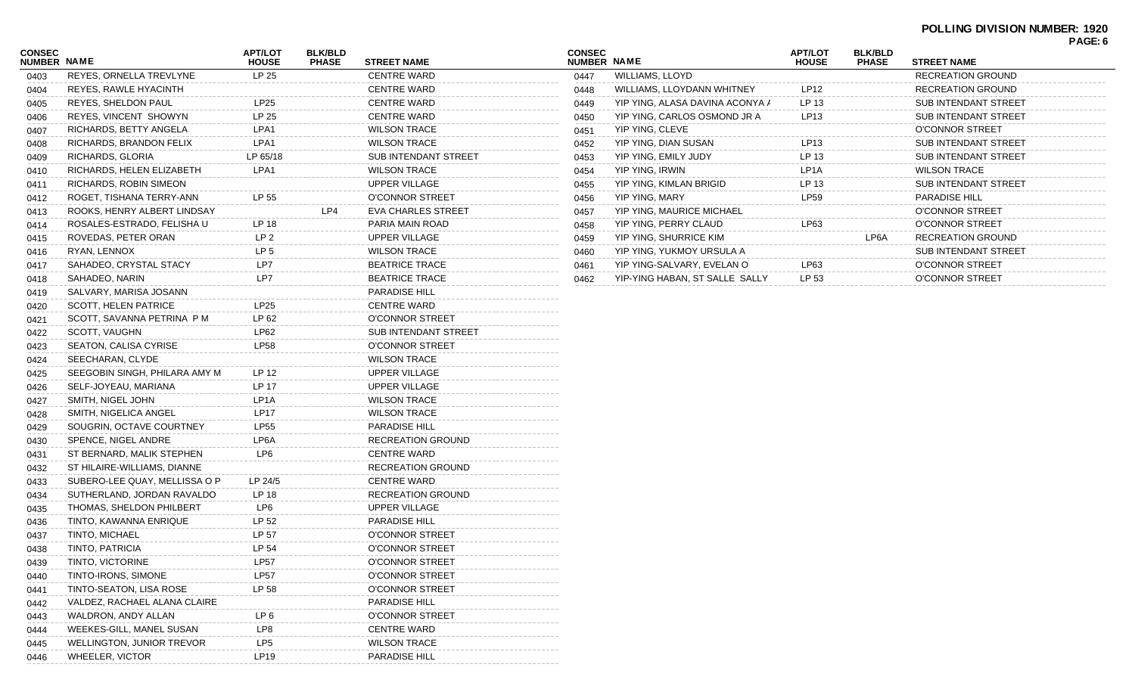#### **POLLING DIVISION NUMBER: 1920 PAGE: 6**

| CONSEC<br><b>NUMBER NAME</b> |                               | <b>APT/LOT</b><br><b>HOUSE</b> | <b>BLK/BLD</b><br><b>PHASE</b> | STREET NAME                 |
|------------------------------|-------------------------------|--------------------------------|--------------------------------|-----------------------------|
| 0403                         | REYES, ORNELLA TREVLYNE       | LP 25                          |                                | <b>CENTRE WARD</b>          |
| 0404                         | REYES, RAWLE HYACINTH         |                                |                                | <b>CENTRE WARD</b>          |
| 0405                         | REYES, SHELDON PAUL           | LP25                           |                                | <b>CENTRE WARD</b>          |
| 0406                         | REYES, VINCENT SHOWYN         | LP 25                          |                                | <b>CENTRE WARD</b>          |
| 0407                         | RICHARDS, BETTY ANGELA        | LPA1                           |                                | <b>WILSON TRACE</b>         |
| 0408                         | RICHARDS, BRANDON FELIX       | LPA1                           |                                | <b>WILSON TRACE</b>         |
| 0409                         | RICHARDS, GLORIA              | LP 65/18                       |                                | <b>SUB INTENDANT STREET</b> |
| 0410                         | RICHARDS, HELEN ELIZABETH     | LPA1                           |                                | <b>WILSON TRACE</b>         |
| 0411                         | RICHARDS, ROBIN SIMEON        |                                |                                | UPPER VILLAGE               |
| 0412                         | ROGET, TISHANA TERRY-ANN      | LP 55                          |                                | O'CONNOR STREET             |
| 0413                         | ROOKS, HENRY ALBERT LINDSAY   |                                | LP4                            | <b>EVA CHARLES STREET</b>   |
| 0414                         | ROSALES-ESTRADO, FELISHA U    | LP 18                          |                                | PARIA MAIN ROAD             |
| 0415                         | ROVEDAS, PETER ORAN           | LP <sub>2</sub>                |                                | UPPER VILLAGE               |
| 0416                         | RYAN, LENNOX                  | LP <sub>5</sub>                |                                | <b>WILSON TRACE</b>         |
| 0417                         | SAHADEO, CRYSTAL STACY        | LP7                            |                                | <b>BEATRICE TRACE</b>       |
| 0418                         | SAHADEO, NARIN                | LP7                            |                                | <b>BEATRICE TRACE</b>       |
| 0419                         | SALVARY, MARISA JOSANN        |                                |                                | <b>PARADISE HILL</b>        |
| 0420                         | <b>SCOTT, HELEN PATRICE</b>   | LP25                           |                                | <b>CENTRE WARD</b>          |
| 0421                         | SCOTT, SAVANNA PETRINA PM     | LP 62                          |                                | O'CONNOR STREET             |
| 0422                         | SCOTT, VAUGHN                 | LP62                           |                                | <b>SUB INTENDANT STREET</b> |
| 0423                         | SEATON, CALISA CYRISE         | LP58                           |                                | O'CONNOR STREET             |
| 0424                         | SEECHARAN, CLYDE              |                                |                                | <b>WILSON TRACE</b>         |
| 0425                         | SEEGOBIN SINGH, PHILARA AMY M | LP 12                          |                                | UPPER VILLAGE               |
| 0426                         | SELF-JOYEAU, MARIANA          | LP 17                          |                                | UPPER VILLAGE               |
| 0427                         | SMITH, NIGEL JOHN             | LP1A                           |                                | <b>WILSON TRACE</b>         |
| 0428                         | SMITH, NIGELICA ANGEL         | LP17                           |                                | <b>WILSON TRACE</b>         |
| 0429                         | SOUGRIN, OCTAVE COURTNEY      | LP55                           |                                | <b>PARADISE HILL</b>        |
| 0430                         | SPENCE, NIGEL ANDRE           | LP6A                           |                                | <b>RECREATION GROUND</b>    |
| 0431                         | ST BERNARD, MALIK STEPHEN     | LP6                            |                                | <b>CENTRE WARD</b>          |
| 0432                         | ST HILAIRE-WILLIAMS, DIANNE   |                                |                                | <b>RECREATION GROUND</b>    |
| 0433                         | SUBERO-LEE QUAY, MELLISSA O P | LP 24/5                        |                                | <b>CENTRE WARD</b>          |
| 0434                         | SUTHERLAND, JORDAN RAVALDO    | LP 18                          |                                | <b>RECREATION GROUND</b>    |
| 0435                         | THOMAS, SHELDON PHILBERT      | LP6                            |                                | UPPER VILLAGE               |
| 0436                         | TINTO, KAWANNA ENRIQUE        | LP 52                          |                                | <b>PARADISE HILL</b>        |
| 0437                         | TINTO, MICHAEL                | LP 57                          |                                | <b>O'CONNOR STREET</b>      |
| 0438                         | TINTO, PATRICIA               | LP 54                          |                                | O'CONNOR STREET             |
| 0439                         | TINTO, VICTORINE              | LP57                           |                                | O'CONNOR STREET             |
| 0440                         | TINTO-IRONS, SIMONE           | <b>LP57</b>                    |                                | O'CONNOR STREET             |
| 0441                         | TINTO-SEATON, LISA ROSE       | LP 58                          |                                | O'CONNOR STREET             |
| 0442                         | VALDEZ, RACHAEL ALANA CLAIRE  |                                |                                | <b>PARADISE HILL</b>        |
| 0443                         | WALDRON, ANDY ALLAN           | LP <sub>6</sub>                |                                | O'CONNOR STREET             |
| 0444                         | WEEKES-GILL, MANEL SUSAN      | LP8                            |                                | <b>CENTRE WARD</b>          |
| 0445                         | WELLINGTON, JUNIOR TREVOR     | LP <sub>5</sub>                |                                | <b>WILSON TRACE</b>         |
| 0446                         | <b>WHEELER, VICTOR</b>        | LP19                           |                                | PARADISE HILL               |
|                              |                               |                                |                                |                             |

| <b>CONSEC</b><br><b>NUMBER</b> | <b>NAME</b>                     | <b>APT/LOT</b><br><b>HOUSE</b> | <b>BLK/BLD</b><br><b>PHASE</b> | <b>STREET NAME</b>          |
|--------------------------------|---------------------------------|--------------------------------|--------------------------------|-----------------------------|
| 0447                           | WILLIAMS, LLOYD                 |                                |                                | <b>RECREATION GROUND</b>    |
| 0448                           | WILLIAMS, LLOYDANN WHITNEY      | <b>LP12</b>                    |                                | <b>RECREATION GROUND</b>    |
| 0449                           | YIP YING, ALASA DAVINA ACONYA A | LP 13                          |                                | SUB INTENDANT STREET        |
| 0450                           | YIP YING, CARLOS OSMOND JR A    | LP13                           |                                | <b>SUB INTENDANT STREET</b> |
| 0451                           | YIP YING, CLEVE                 |                                |                                | O'CONNOR STREET             |
| 0452                           | YIP YING, DIAN SUSAN            | LP13                           |                                | <b>SUB INTENDANT STREET</b> |
| 0453                           | YIP YING, EMILY JUDY            | LP 13                          |                                | <b>SUB INTENDANT STREET</b> |
| 0454                           | YIP YING, IRWIN                 | LP <sub>1</sub> A              |                                | <b>WILSON TRACE</b>         |
| 0455                           | YIP YING, KIMLAN BRIGID         | LP 13                          |                                | <b>SUB INTENDANT STREET</b> |
| 0456                           | YIP YING, MARY                  | <b>LP59</b>                    |                                | <b>PARADISE HILL</b>        |
| 0457                           | YIP YING, MAURICE MICHAEL       |                                |                                | O'CONNOR STREET             |
| 0458                           | YIP YING, PERRY CLAUD           | LP63                           |                                | O'CONNOR STREET             |
| 0459                           | YIP YING, SHURRICE KIM          |                                | LP6A                           | <b>RECREATION GROUND</b>    |
| 0460                           | YIP YING, YUKMOY URSULA A       |                                |                                | <b>SUB INTENDANT STREET</b> |
| 0461                           | YIP YING-SALVARY, EVELAN O      | LP63                           |                                | O'CONNOR STREET             |
| 0462                           | YIP-YING HABAN, ST SALLE SALLY  | LP 53                          |                                | O'CONNOR STREET             |